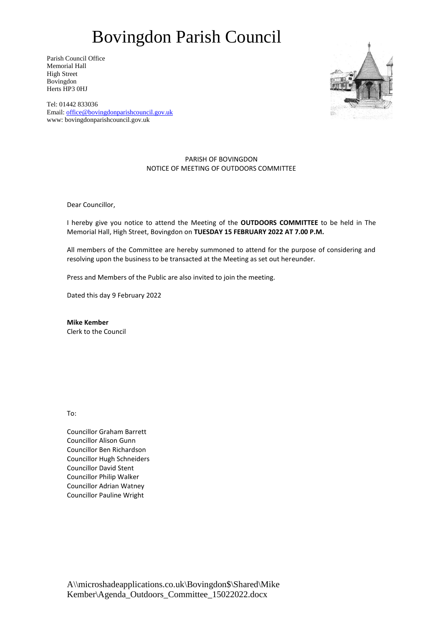# Bovingdon Parish Council

Parish Council Office Memorial Hall High Street Bovingdon Herts HP3 0HJ



Tel: 01442 833036 Email: [office@bovingdonparishcouncil.gov.uk](mailto:office@bovingdonparishcouncil.gov.uk) www: bovingdonparishcouncil.gov.uk

### PARISH OF BOVINGDON NOTICE OF MEETING OF OUTDOORS COMMITTEE

Dear Councillor,

I hereby give you notice to attend the Meeting of the **OUTDOORS COMMITTEE** to be held in The Memorial Hall, High Street, Bovingdon on **TUESDAY 15 FEBRUARY 2022 AT 7.00 P.M.**

All members of the Committee are hereby summoned to attend for the purpose of considering and resolving upon the business to be transacted at the Meeting as set out hereunder.

Press and Members of the Public are also invited to join the meeting.

Dated this day 9 February 2022

**Mike Kember** Clerk to the Council

To:

Councillor Graham Barrett Councillor Alison Gunn Councillor Ben Richardson Councillor Hugh Schneiders Councillor David Stent Councillor Philip Walker Councillor Adrian Watney Councillor Pauline Wright